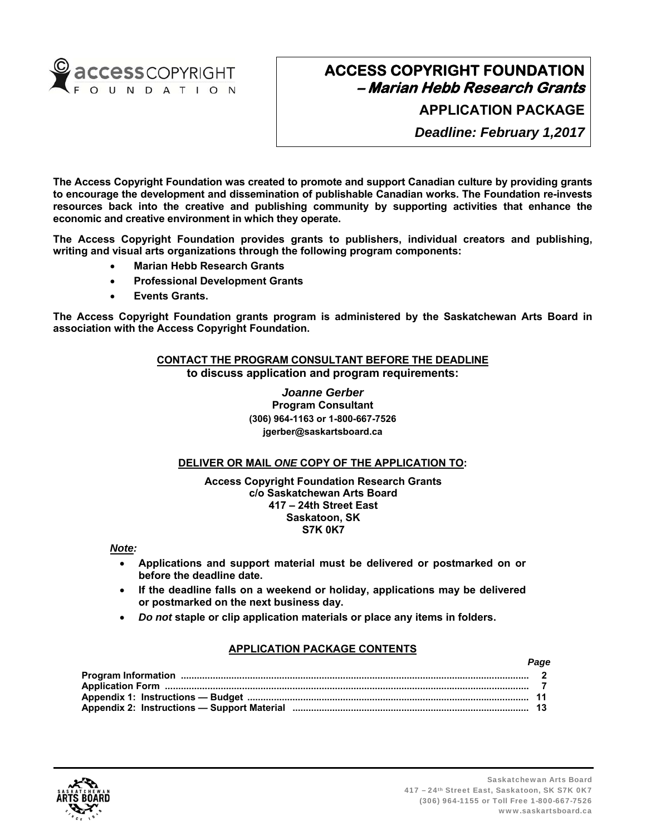

**APPLICATION PACKAGE**

*Deadline: February 1,2017*

**The Access Copyright Foundation was created to promote and support Canadian culture by providing grants to encourage the development and dissemination of publishable Canadian works. The Foundation re-invests resources back into the creative and publishing community by supporting activities that enhance the economic and creative environment in which they operate.** 

**The Access Copyright Foundation provides grants to publishers, individual creators and publishing, writing and visual arts organizations through the following program components:** 

- **Marian Hebb Research Grants**
- **Professional Development Grants**
- **Events Grants.**

**The Access Copyright Foundation grants program is administered by the Saskatchewan Arts Board in association with the Access Copyright Foundation.** 

## **CONTACT THE PROGRAM CONSULTANT BEFORE THE DEADLINE**

**to discuss application and program requirements:** 

*Joanne Gerber*  **Program Consultant (306) 964-1163 or 1-800-667-7526 jgerber@saskartsboard.ca** 

## **DELIVER OR MAIL** *ONE* **COPY OF THE APPLICATION TO:**

#### **Access Copyright Foundation Research Grants c/o Saskatchewan Arts Board 417 – 24th Street East Saskatoon, SK S7K 0K7**

*Note:* 

- **Applications and support material must be delivered or postmarked on or before the deadline date.**
- **If the deadline falls on a weekend or holiday, applications may be delivered or postmarked on the next business day.**
- *Do not* **staple or clip application materials or place any items in folders.**

## **APPLICATION PACKAGE CONTENTS**

| r auc |
|-------|
|       |
|       |
|       |
|       |



*Page*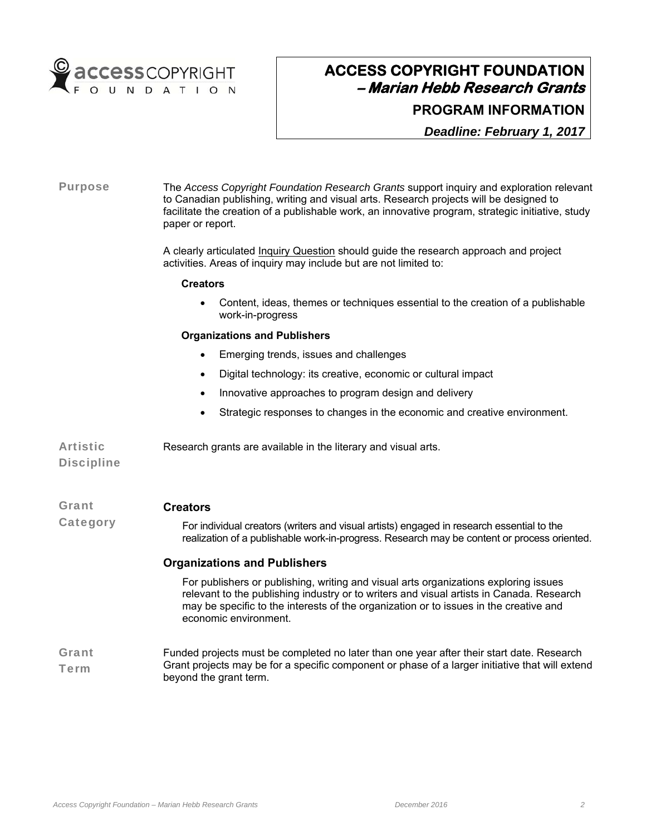

## **PROGRAM INFORMATION**

*Deadline: February 1, 2017*

## Purpose The *Access Copyright Foundation Research Grants* support inquiry and exploration relevant to Canadian publishing, writing and visual arts. Research projects will be designed to facilitate the creation of a publishable work, an innovative program, strategic initiative, study paper or report. A clearly articulated Inquiry Question should guide the research approach and project activities. Areas of inquiry may include but are not limited to: **Creators**  Content, ideas, themes or techniques essential to the creation of a publishable work-in-progress **Organizations and Publishers Emerging trends, issues and challenges**  Digital technology: its creative, economic or cultural impact • Innovative approaches to program design and delivery Strategic responses to changes in the economic and creative environment. Artistic **Discipline** Research grants are available in the literary and visual arts. Grant **Category Creators**  For individual creators (writers and visual artists) engaged in research essential to the realization of a publishable work-in-progress. Research may be content or process oriented. **Organizations and Publishers**  For publishers or publishing, writing and visual arts organizations exploring issues relevant to the publishing industry or to writers and visual artists in Canada. Research may be specific to the interests of the organization or to issues in the creative and economic environment. Grant Term Funded projects must be completed no later than one year after their start date. Research Grant projects may be for a specific component or phase of a larger initiative that will extend beyond the grant term.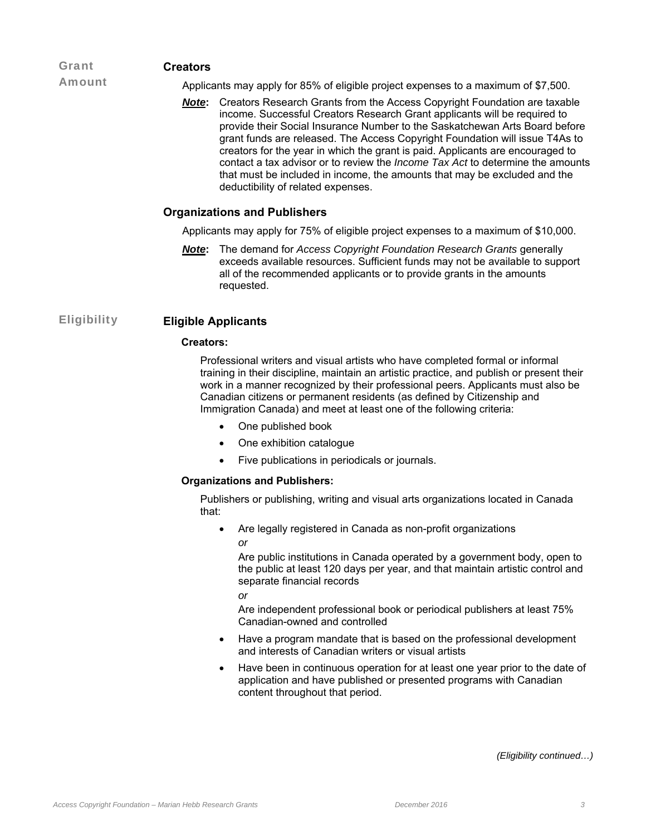#### Grant **Creators**

Amount

Applicants may apply for 85% of eligible project expenses to a maximum of \$7,500.

*Note***:** Creators Research Grants from the Access Copyright Foundation are taxable income. Successful Creators Research Grant applicants will be required to provide their Social Insurance Number to the Saskatchewan Arts Board before grant funds are released. The Access Copyright Foundation will issue T4As to creators for the year in which the grant is paid. Applicants are encouraged to contact a tax advisor or to review the *Income Tax Act* to determine the amounts that must be included in income, the amounts that may be excluded and the deductibility of related expenses.

## **Organizations and Publishers**

Applicants may apply for 75% of eligible project expenses to a maximum of \$10,000.

*Note***:** The demand for *Access Copyright Foundation Research Grants* generally exceeds available resources. Sufficient funds may not be available to support all of the recommended applicants or to provide grants in the amounts requested.

## Eligibility **Eligible Applicants**

### **Creators:**

Professional writers and visual artists who have completed formal or informal training in their discipline, maintain an artistic practice, and publish or present their work in a manner recognized by their professional peers. Applicants must also be Canadian citizens or permanent residents (as defined by Citizenship and Immigration Canada) and meet at least one of the following criteria:

- One published book
- One exhibition catalogue
- Five publications in periodicals or journals.

#### **Organizations and Publishers:**

Publishers or publishing, writing and visual arts organizations located in Canada that:

 Are legally registered in Canada as non-profit organizations *or* 

Are public institutions in Canada operated by a government body, open to the public at least 120 days per year, and that maintain artistic control and separate financial records

*or* 

Are independent professional book or periodical publishers at least 75% Canadian-owned and controlled

- Have a program mandate that is based on the professional development and interests of Canadian writers or visual artists
- Have been in continuous operation for at least one year prior to the date of application and have published or presented programs with Canadian content throughout that period.

 *(Eligibility continued…)*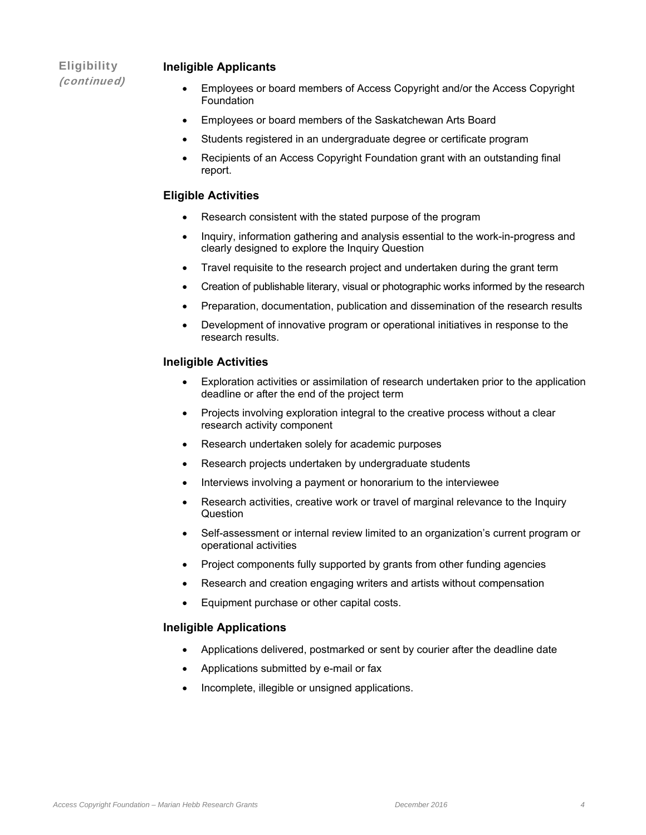## **Eligibility** (continued)

## **Ineligible Applicants**

- Employees or board members of Access Copyright and/or the Access Copyright Foundation
- Employees or board members of the Saskatchewan Arts Board
- Students registered in an undergraduate degree or certificate program
- Recipients of an Access Copyright Foundation grant with an outstanding final report.

## **Eligible Activities**

- Research consistent with the stated purpose of the program
- Inquiry, information gathering and analysis essential to the work-in-progress and clearly designed to explore the Inquiry Question
- Travel requisite to the research project and undertaken during the grant term
- Creation of publishable literary, visual or photographic works informed by the research
- Preparation, documentation, publication and dissemination of the research results
- Development of innovative program or operational initiatives in response to the research results.

### **Ineligible Activities**

- Exploration activities or assimilation of research undertaken prior to the application deadline or after the end of the project term
- Projects involving exploration integral to the creative process without a clear research activity component
- Research undertaken solely for academic purposes
- Research projects undertaken by undergraduate students
- Interviews involving a payment or honorarium to the interviewee
- Research activities, creative work or travel of marginal relevance to the Inquiry **Question**
- Self-assessment or internal review limited to an organization's current program or operational activities
- Project components fully supported by grants from other funding agencies
- Research and creation engaging writers and artists without compensation
- Equipment purchase or other capital costs.

## **Ineligible Applications**

- Applications delivered, postmarked or sent by courier after the deadline date
- Applications submitted by e-mail or fax
- Incomplete, illegible or unsigned applications.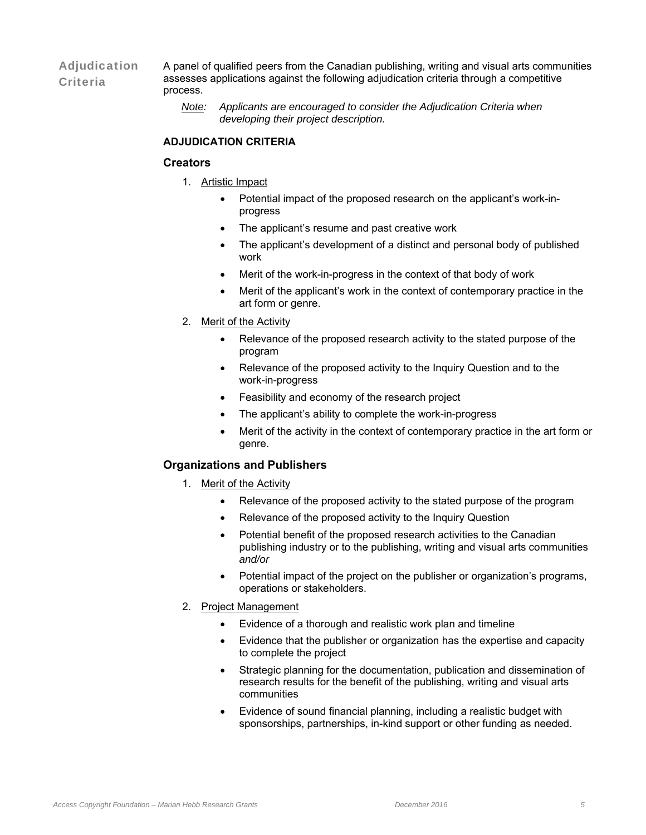Adjudication **Criteria** A panel of qualified peers from the Canadian publishing, writing and visual arts communities assesses applications against the following adjudication criteria through a competitive process.

> *Note: Applicants are encouraged to consider the Adjudication Criteria when developing their project description.*

### **ADJUDICATION CRITERIA**

### **Creators**

- 1. Artistic Impact
	- Potential impact of the proposed research on the applicant's work-inprogress
	- The applicant's resume and past creative work
	- The applicant's development of a distinct and personal body of published work
	- Merit of the work-in-progress in the context of that body of work
	- Merit of the applicant's work in the context of contemporary practice in the art form or genre.
- 2. Merit of the Activity
	- Relevance of the proposed research activity to the stated purpose of the program
	- Relevance of the proposed activity to the Inquiry Question and to the work-in-progress
	- Feasibility and economy of the research project
	- The applicant's ability to complete the work-in-progress
	- Merit of the activity in the context of contemporary practice in the art form or genre.

## **Organizations and Publishers**

- 1. Merit of the Activity
	- Relevance of the proposed activity to the stated purpose of the program
	- Relevance of the proposed activity to the Inquiry Question
	- Potential benefit of the proposed research activities to the Canadian publishing industry or to the publishing, writing and visual arts communities *and/or*
	- Potential impact of the project on the publisher or organization's programs, operations or stakeholders.
- 2. Project Management
	- Evidence of a thorough and realistic work plan and timeline
	- Evidence that the publisher or organization has the expertise and capacity to complete the project
	- Strategic planning for the documentation, publication and dissemination of research results for the benefit of the publishing, writing and visual arts communities
	- Evidence of sound financial planning, including a realistic budget with sponsorships, partnerships, in-kind support or other funding as needed.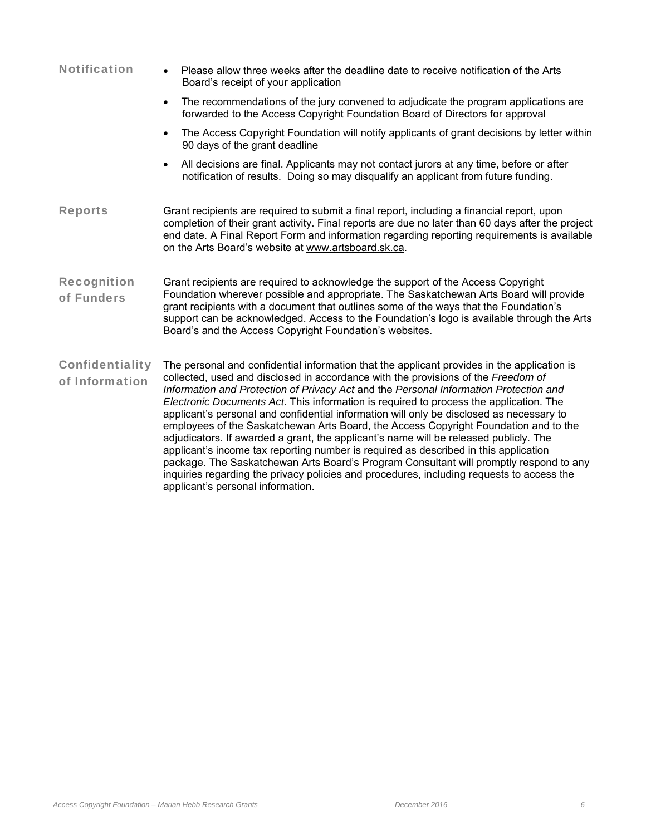| <b>Notification</b>                      | Please allow three weeks after the deadline date to receive notification of the Arts<br>Board's receipt of your application                                                                                                                                                                                                                                                                                                                                                                                                                                                                                                                                                                                                                                                                                                                                                                                                                                          |
|------------------------------------------|----------------------------------------------------------------------------------------------------------------------------------------------------------------------------------------------------------------------------------------------------------------------------------------------------------------------------------------------------------------------------------------------------------------------------------------------------------------------------------------------------------------------------------------------------------------------------------------------------------------------------------------------------------------------------------------------------------------------------------------------------------------------------------------------------------------------------------------------------------------------------------------------------------------------------------------------------------------------|
|                                          | The recommendations of the jury convened to adjudicate the program applications are<br>$\bullet$<br>forwarded to the Access Copyright Foundation Board of Directors for approval                                                                                                                                                                                                                                                                                                                                                                                                                                                                                                                                                                                                                                                                                                                                                                                     |
|                                          | The Access Copyright Foundation will notify applicants of grant decisions by letter within<br>90 days of the grant deadline                                                                                                                                                                                                                                                                                                                                                                                                                                                                                                                                                                                                                                                                                                                                                                                                                                          |
|                                          | All decisions are final. Applicants may not contact jurors at any time, before or after<br>notification of results. Doing so may disqualify an applicant from future funding.                                                                                                                                                                                                                                                                                                                                                                                                                                                                                                                                                                                                                                                                                                                                                                                        |
| <b>Reports</b>                           | Grant recipients are required to submit a final report, including a financial report, upon<br>completion of their grant activity. Final reports are due no later than 60 days after the project<br>end date. A Final Report Form and information regarding reporting requirements is available<br>on the Arts Board's website at www.artsboard.sk.ca.                                                                                                                                                                                                                                                                                                                                                                                                                                                                                                                                                                                                                |
| <b>Recognition</b><br>of Funders         | Grant recipients are required to acknowledge the support of the Access Copyright<br>Foundation wherever possible and appropriate. The Saskatchewan Arts Board will provide<br>grant recipients with a document that outlines some of the ways that the Foundation's<br>support can be acknowledged. Access to the Foundation's logo is available through the Arts<br>Board's and the Access Copyright Foundation's websites.                                                                                                                                                                                                                                                                                                                                                                                                                                                                                                                                         |
| <b>Confidentiality</b><br>of Information | The personal and confidential information that the applicant provides in the application is<br>collected, used and disclosed in accordance with the provisions of the Freedom of<br>Information and Protection of Privacy Act and the Personal Information Protection and<br>Electronic Documents Act. This information is required to process the application. The<br>applicant's personal and confidential information will only be disclosed as necessary to<br>employees of the Saskatchewan Arts Board, the Access Copyright Foundation and to the<br>adjudicators. If awarded a grant, the applicant's name will be released publicly. The<br>applicant's income tax reporting number is required as described in this application<br>package. The Saskatchewan Arts Board's Program Consultant will promptly respond to any<br>inquiries regarding the privacy policies and procedures, including requests to access the<br>applicant's personal information. |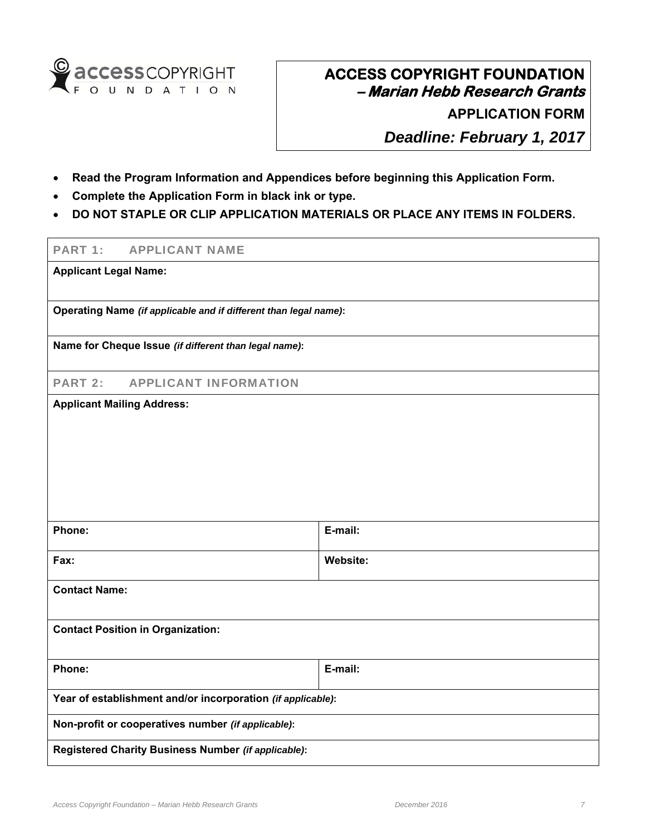

**APPLICATION FORM**

*Deadline: February 1, 2017*

- **Read the Program Information and Appendices before beginning this Application Form.**
- **Complete the Application Form in black ink or type.**
- **DO NOT STAPLE OR CLIP APPLICATION MATERIALS OR PLACE ANY ITEMS IN FOLDERS.**

## PART 1: APPLICANT NAME

**Applicant Legal Name:** 

**Operating Name** *(if applicable and if different than legal name)***:**

**Name for Cheque Issue** *(if different than legal name)***:**

PART 2: APPLICANT INFORMATION

### **Applicant Mailing Address:**

| Phone:                                                      | E-mail:  |  |  |  |
|-------------------------------------------------------------|----------|--|--|--|
| Fax:                                                        | Website: |  |  |  |
| <b>Contact Name:</b>                                        |          |  |  |  |
| <b>Contact Position in Organization:</b>                    |          |  |  |  |
| Phone:                                                      | E-mail:  |  |  |  |
| Year of establishment and/or incorporation (if applicable): |          |  |  |  |
| Non-profit or cooperatives number (if applicable):          |          |  |  |  |
| Registered Charity Business Number (if applicable):         |          |  |  |  |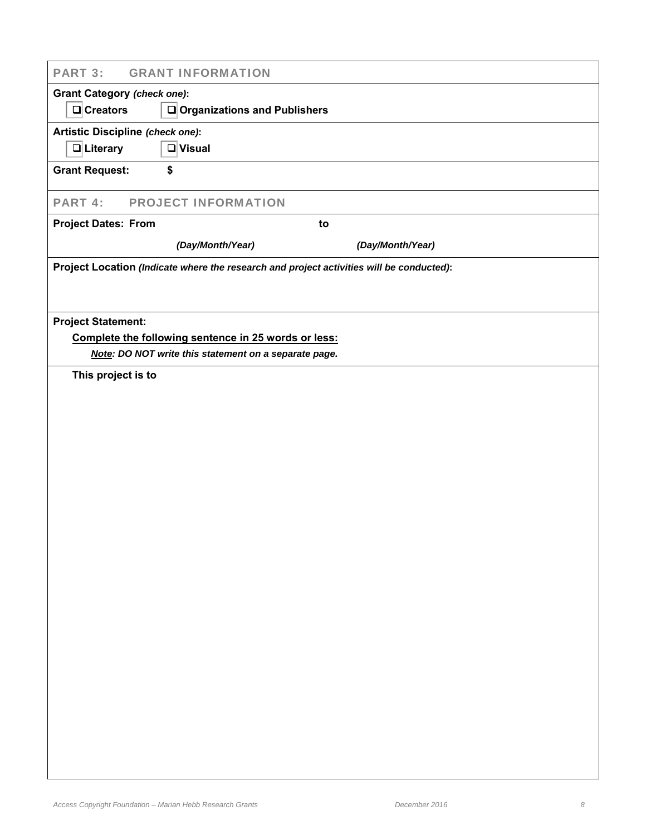| <b>PART 3:</b>                     | <b>GRANT INFORMATION</b>                                                                 |                  |  |  |
|------------------------------------|------------------------------------------------------------------------------------------|------------------|--|--|
| <b>Grant Category (check one):</b> |                                                                                          |                  |  |  |
| $\Box$ Creators                    | $\Box$ Organizations and Publishers                                                      |                  |  |  |
| Artistic Discipline (check one):   |                                                                                          |                  |  |  |
| $\Box$ Literary                    | $\Box$ Visual                                                                            |                  |  |  |
| <b>Grant Request:</b>              | \$                                                                                       |                  |  |  |
| PART 4:                            | <b>PROJECT INFORMATION</b>                                                               |                  |  |  |
| <b>Project Dates: From</b>         | to                                                                                       |                  |  |  |
|                                    | (Day/Month/Year)                                                                         | (Day/Month/Year) |  |  |
|                                    | Project Location (Indicate where the research and project activities will be conducted): |                  |  |  |
|                                    |                                                                                          |                  |  |  |
| <b>Project Statement:</b>          |                                                                                          |                  |  |  |
|                                    | Complete the following sentence in 25 words or less:                                     |                  |  |  |
|                                    | Note: DO NOT write this statement on a separate page.                                    |                  |  |  |
| This project is to                 |                                                                                          |                  |  |  |
|                                    |                                                                                          |                  |  |  |
|                                    |                                                                                          |                  |  |  |
|                                    |                                                                                          |                  |  |  |
|                                    |                                                                                          |                  |  |  |
|                                    |                                                                                          |                  |  |  |
|                                    |                                                                                          |                  |  |  |
|                                    |                                                                                          |                  |  |  |
|                                    |                                                                                          |                  |  |  |
|                                    |                                                                                          |                  |  |  |
|                                    |                                                                                          |                  |  |  |
|                                    |                                                                                          |                  |  |  |
|                                    |                                                                                          |                  |  |  |
|                                    |                                                                                          |                  |  |  |
|                                    |                                                                                          |                  |  |  |
|                                    |                                                                                          |                  |  |  |
|                                    |                                                                                          |                  |  |  |
|                                    |                                                                                          |                  |  |  |
|                                    |                                                                                          |                  |  |  |
|                                    |                                                                                          |                  |  |  |
|                                    |                                                                                          |                  |  |  |
|                                    |                                                                                          |                  |  |  |
|                                    |                                                                                          |                  |  |  |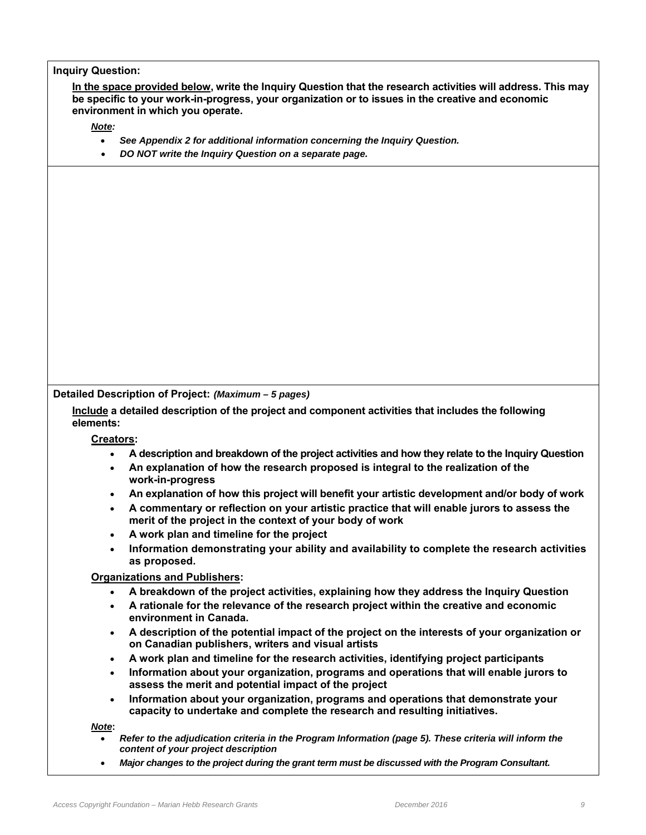## **Inquiry Question:**

**In the space provided below, write the Inquiry Question that the research activities will address. This may be specific to your work-in-progress, your organization or to issues in the creative and economic environment in which you operate.** 

*Note:* 

- *See Appendix 2 for additional information concerning the Inquiry Question.*
- *DO NOT write the Inquiry Question on a separate page.*

**Detailed Description of Project:** *(Maximum – 5 pages)*

**Include a detailed description of the project and component activities that includes the following elements:** 

**Creators:** 

- **A description and breakdown of the project activities and how they relate to the Inquiry Question**
- **An explanation of how the research proposed is integral to the realization of the work-in-progress**
- **An explanation of how this project will benefit your artistic development and/or body of work**
- **A commentary or reflection on your artistic practice that will enable jurors to assess the merit of the project in the context of your body of work**
- **A work plan and timeline for the project**
- **Information demonstrating your ability and availability to complete the research activities as proposed.**

**Organizations and Publishers:**

- **A breakdown of the project activities, explaining how they address the Inquiry Question**
- **A rationale for the relevance of the research project within the creative and economic environment in Canada.**
- **A description of the potential impact of the project on the interests of your organization or on Canadian publishers, writers and visual artists**
- **A work plan and timeline for the research activities, identifying project participants**
- **Information about your organization, programs and operations that will enable jurors to assess the merit and potential impact of the project**
- **Information about your organization, programs and operations that demonstrate your capacity to undertake and complete the research and resulting initiatives.**

*Note***:**

- *Refer to the adjudication criteria in the Program Information (page 5). These criteria will inform the content of your project description*
- *Major changes to the project during the grant term must be discussed with the Program Consultant.*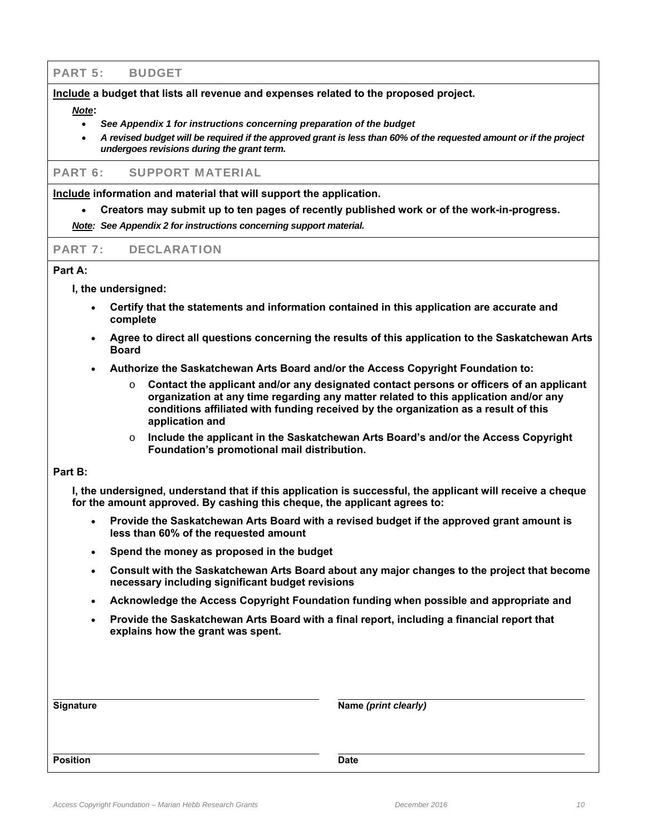## PART 5: BUDGET

#### **Include a budget that lists all revenue and expenses related to the proposed project.**

#### *Note***:**

- *See Appendix 1 for instructions concerning preparation of the budget*
- *A revised budget will be required if the approved grant is less than 60% of the requested amount or if the project undergoes revisions during the grant term.*

#### PART 6: SUPPORT MATERIAL

**Include information and material that will support the application.**

**Creators may submit up to ten pages of recently published work or of the work-in-progress.**

*Note: See Appendix 2 for instructions concerning support material.*

### PART 7: DECLARATION

### **Part A:**

**I, the undersigned:** 

- **Certify that the statements and information contained in this application are accurate and complete**
- **Agree to direct all questions concerning the results of this application to the Saskatchewan Arts Board**
- **Authorize the Saskatchewan Arts Board and/or the Access Copyright Foundation to:** 
	- o **Contact the applicant and/or any designated contact persons or officers of an applicant organization at any time regarding any matter related to this application and/or any conditions affiliated with funding received by the organization as a result of this application and**
	- o **Include the applicant in the Saskatchewan Arts Board's and/or the Access Copyright Foundation's promotional mail distribution.**

#### **Part B:**

**I, the undersigned, understand that if this application is successful, the applicant will receive a cheque for the amount approved. By cashing this cheque, the applicant agrees to:**

- **Provide the Saskatchewan Arts Board with a revised budget if the approved grant amount is less than 60% of the requested amount**
- **Spend the money as proposed in the budget**
- **Consult with the Saskatchewan Arts Board about any major changes to the project that become necessary including significant budget revisions**
- **Acknowledge the Access Copyright Foundation funding when possible and appropriate and**
- **Provide the Saskatchewan Arts Board with a final report, including a financial report that explains how the grant was spent.**

| <b>Signature</b> | Name (print clearly) |
|------------------|----------------------|
|                  |                      |
| <b>Position</b>  | <b>Date</b>          |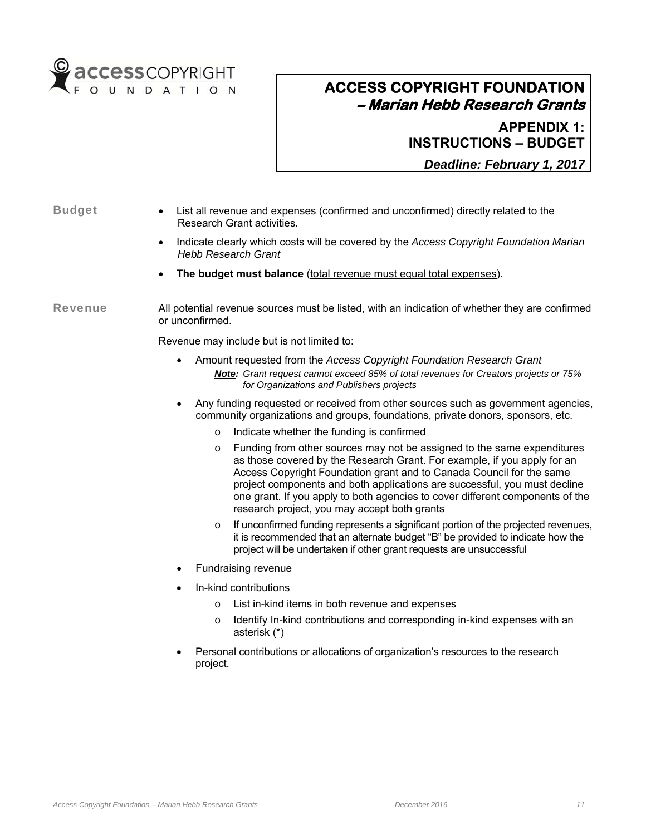

**APPENDIX 1: INSTRUCTIONS – BUDGET**

*Deadline: February 1, 2017*

- Budget List all revenue and expenses (confirmed and unconfirmed) directly related to the Research Grant activities.
	- Indicate clearly which costs will be covered by the *Access Copyright Foundation Marian Hebb Research Grant*
	- **The budget must balance** (total revenue must equal total expenses).

Revenue All potential revenue sources must be listed, with an indication of whether they are confirmed or unconfirmed.

Revenue may include but is not limited to:

- Amount requested from the *Access Copyright Foundation Research Grant Note: Grant request cannot exceed 85% of total revenues for Creators projects or 75% for Organizations and Publishers projects*
- Any funding requested or received from other sources such as government agencies, community organizations and groups, foundations, private donors, sponsors, etc.
	- o Indicate whether the funding is confirmed
	- $\circ$  Funding from other sources may not be assigned to the same expenditures as those covered by the Research Grant. For example, if you apply for an Access Copyright Foundation grant and to Canada Council for the same project components and both applications are successful, you must decline one grant. If you apply to both agencies to cover different components of the research project, you may accept both grants
	- If unconfirmed funding represents a significant portion of the projected revenues, it is recommended that an alternate budget "B" be provided to indicate how the project will be undertaken if other grant requests are unsuccessful
- Fundraising revenue
- In-kind contributions
	- o List in-kind items in both revenue and expenses
	- o Identify In-kind contributions and corresponding in-kind expenses with an asterisk (\*)
- Personal contributions or allocations of organization's resources to the research project.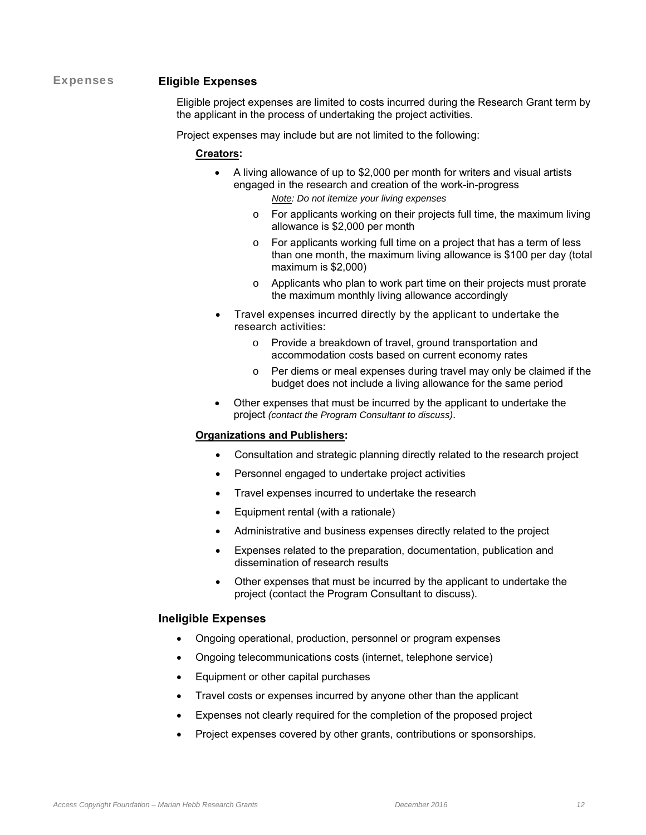## Expenses **Eligible Expenses**

Eligible project expenses are limited to costs incurred during the Research Grant term by the applicant in the process of undertaking the project activities.

Project expenses may include but are not limited to the following:

#### **Creators:**

- A living allowance of up to \$2,000 per month for writers and visual artists engaged in the research and creation of the work-in-progress *Note: Do not itemize your living expenses* 
	- o For applicants working on their projects full time, the maximum living allowance is \$2,000 per month
	- o For applicants working full time on a project that has a term of less than one month, the maximum living allowance is \$100 per day (total maximum is \$2,000)
	- o Applicants who plan to work part time on their projects must prorate the maximum monthly living allowance accordingly
- Travel expenses incurred directly by the applicant to undertake the research activities:
	- o Provide a breakdown of travel, ground transportation and accommodation costs based on current economy rates
	- o Per diems or meal expenses during travel may only be claimed if the budget does not include a living allowance for the same period
- Other expenses that must be incurred by the applicant to undertake the project *(contact the Program Consultant to discuss)*.

#### **Organizations and Publishers:**

- Consultation and strategic planning directly related to the research project
- Personnel engaged to undertake project activities
- Travel expenses incurred to undertake the research
- Equipment rental (with a rationale)
- Administrative and business expenses directly related to the project
- Expenses related to the preparation, documentation, publication and dissemination of research results
- Other expenses that must be incurred by the applicant to undertake the project (contact the Program Consultant to discuss).

#### **Ineligible Expenses**

- Ongoing operational, production, personnel or program expenses
- Ongoing telecommunications costs (internet, telephone service)
- Equipment or other capital purchases
- Travel costs or expenses incurred by anyone other than the applicant
- Expenses not clearly required for the completion of the proposed project
- Project expenses covered by other grants, contributions or sponsorships.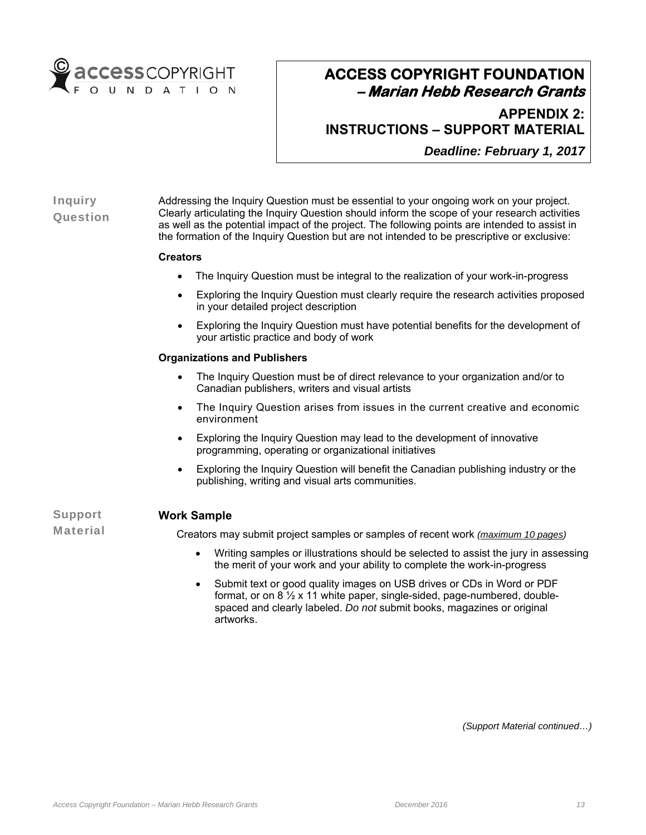

**APPENDIX 2: INSTRUCTIONS – SUPPORT MATERIAL**

*Deadline: February 1, 2017*

## Inquiry **Question**

Addressing the Inquiry Question must be essential to your ongoing work on your project. Clearly articulating the Inquiry Question should inform the scope of your research activities as well as the potential impact of the project. The following points are intended to assist in the formation of the Inquiry Question but are not intended to be prescriptive or exclusive:

## **Creators**

- The Inquiry Question must be integral to the realization of your work-in-progress
- Exploring the Inquiry Question must clearly require the research activities proposed in your detailed project description
- Exploring the Inquiry Question must have potential benefits for the development of your artistic practice and body of work

### **Organizations and Publishers**

- The Inquiry Question must be of direct relevance to your organization and/or to Canadian publishers, writers and visual artists
- The Inquiry Question arises from issues in the current creative and economic environment
- Exploring the Inquiry Question may lead to the development of innovative programming, operating or organizational initiatives
- Exploring the Inquiry Question will benefit the Canadian publishing industry or the publishing, writing and visual arts communities.

Support Material

## **Work Sample**

Creators may submit project samples or samples of recent work *(maximum 10 pages)*

- Writing samples or illustrations should be selected to assist the jury in assessing the merit of your work and your ability to complete the work-in-progress
- Submit text or good quality images on USB drives or CDs in Word or PDF format, or on 8 ½ x 11 white paper, single-sided, page-numbered, doublespaced and clearly labeled. *Do not* submit books, magazines or original artworks.

*(Support Material continued…)*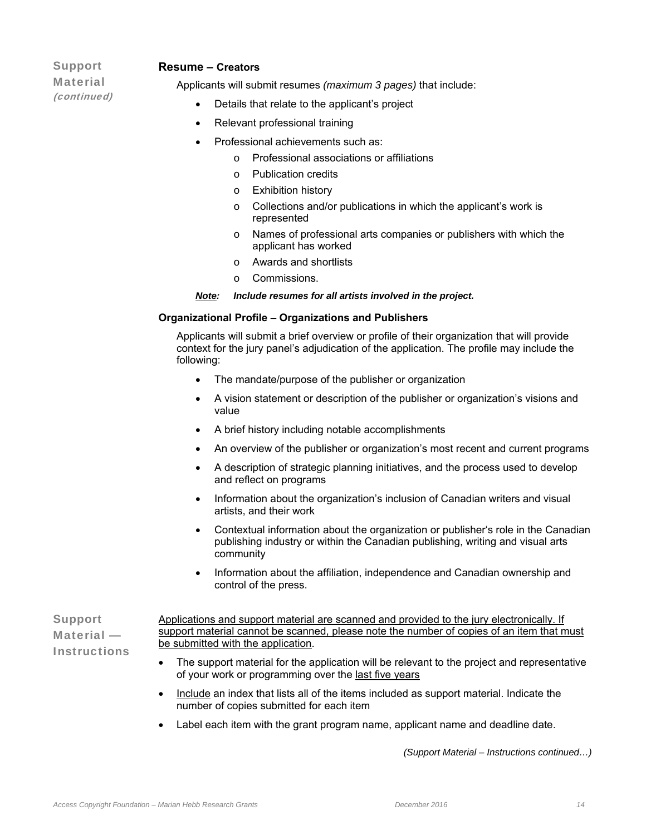## Support **Material** (continued)

#### **Resume – Creators**

Applicants will submit resumes *(maximum 3 pages)* that include:

- Details that relate to the applicant's project
- Relevant professional training
- Professional achievements such as:
	- o Professional associations or affiliations
	- o Publication credits
	- o Exhibition history
	- o Collections and/or publications in which the applicant's work is represented
	- o Names of professional arts companies or publishers with which the applicant has worked
	- o Awards and shortlists
	- o Commissions.

#### *Note: Include resumes for all artists involved in the project.*

#### **Organizational Profile – Organizations and Publishers**

Applicants will submit a brief overview or profile of their organization that will provide context for the jury panel's adjudication of the application. The profile may include the following:

- The mandate/purpose of the publisher or organization
- A vision statement or description of the publisher or organization's visions and value
- A brief history including notable accomplishments
- An overview of the publisher or organization's most recent and current programs
- A description of strategic planning initiatives, and the process used to develop and reflect on programs
- Information about the organization's inclusion of Canadian writers and visual artists, and their work
- Contextual information about the organization or publisher's role in the Canadian publishing industry or within the Canadian publishing, writing and visual arts community
- Information about the affiliation, independence and Canadian ownership and control of the press.

Support Material — **Instructions** Applications and support material are scanned and provided to the jury electronically. If support material cannot be scanned, please note the number of copies of an item that must be submitted with the application.

- The support material for the application will be relevant to the project and representative of your work or programming over the last five years
- Include an index that lists all of the items included as support material. Indicate the number of copies submitted for each item
- Label each item with the grant program name, applicant name and deadline date.

*(Support Material – Instructions continued…)*